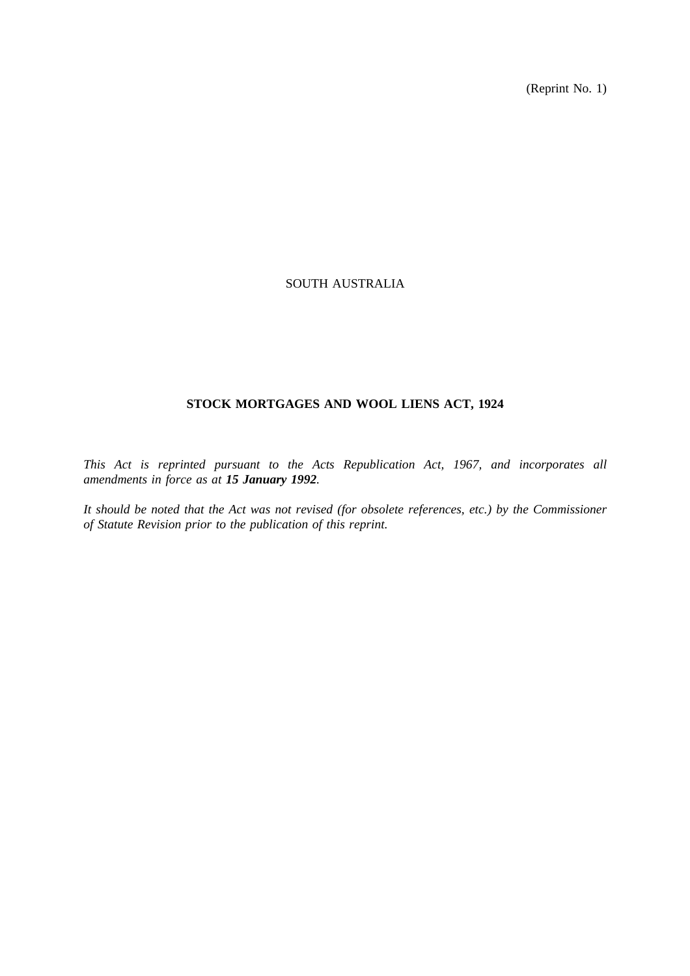(Reprint No. 1)

# SOUTH AUSTRALIA

# **STOCK MORTGAGES AND WOOL LIENS ACT, 1924**

*This Act is reprinted pursuant to the Acts Republication Act, 1967, and incorporates all amendments in force as at 15 January 1992.*

*It should be noted that the Act was not revised (for obsolete references, etc.) by the Commissioner of Statute Revision prior to the publication of this reprint.*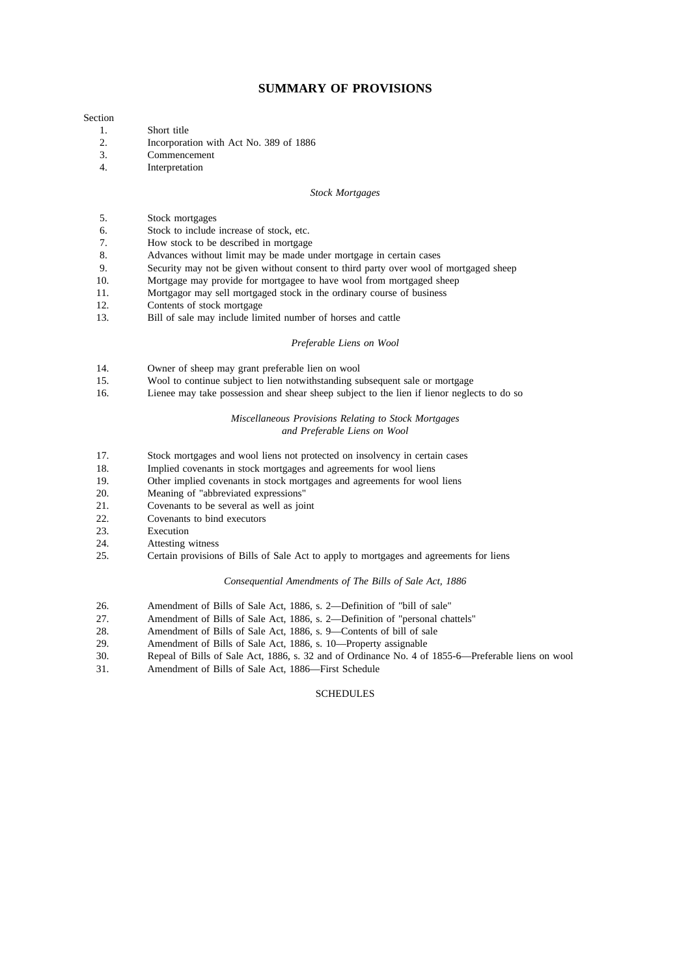# **SUMMARY OF PROVISIONS**

#### Section

- 1. Short title
- 2. Incorporation with Act No. 389 of 1886
- 3. Commencement
- 4. Interpretation

#### *Stock Mortgages*

- 5. Stock mortgages
- 6. Stock to include increase of stock, etc.
- 7. How stock to be described in mortgage
- 8. Advances without limit may be made under mortgage in certain cases
- 9. Security may not be given without consent to third party over wool of mortgaged sheep
- 10. Mortgage may provide for mortgagee to have wool from mortgaged sheep
- 11. Mortgagor may sell mortgaged stock in the ordinary course of business
- 12. Contents of stock mortgage
- 13. Bill of sale may include limited number of horses and cattle

#### *Preferable Liens on Wool*

- 14. Owner of sheep may grant preferable lien on wool
- 15. Wool to continue subject to lien notwithstanding subsequent sale or mortgage
- 16. Lienee may take possession and shear sheep subject to the lien if lienor neglects to do so

#### *Miscellaneous Provisions Relating to Stock Mortgages and Preferable Liens on Wool*

- 17. Stock mortgages and wool liens not protected on insolvency in certain cases
- 18. Implied covenants in stock mortgages and agreements for wool liens
- 19. Other implied covenants in stock mortgages and agreements for wool liens
- 20. Meaning of "abbreviated expressions"<br>21 Covenants to be several as well as ioi
- 21. Covenants to be several as well as joint 22. Covenants to bind executors
- 22. Covenants to bind executors<br>23. Execution
- **Execution**
- 24. Attesting witness
- 25. Certain provisions of Bills of Sale Act to apply to mortgages and agreements for liens

#### *Consequential Amendments of The Bills of Sale Act, 1886*

- 26. Amendment of Bills of Sale Act, 1886, s. 2—Definition of "bill of sale"
- 27. Amendment of Bills of Sale Act, 1886, s. 2—Definition of "personal chattels"
- 28. Amendment of Bills of Sale Act, 1886, s. 9—Contents of bill of sale
- 29. Amendment of Bills of Sale Act, 1886, s. 10—Property assignable<br>30 Repeal of Bills of Sale Act, 1886, s. 32 and of Ordinance No. 4 of
- 30. Repeal of Bills of Sale Act, 1886, s. 32 and of Ordinance No. 4 of 1855-6—Preferable liens on wool
- Amendment of Bills of Sale Act, 1886—First Schedule

## **SCHEDULES**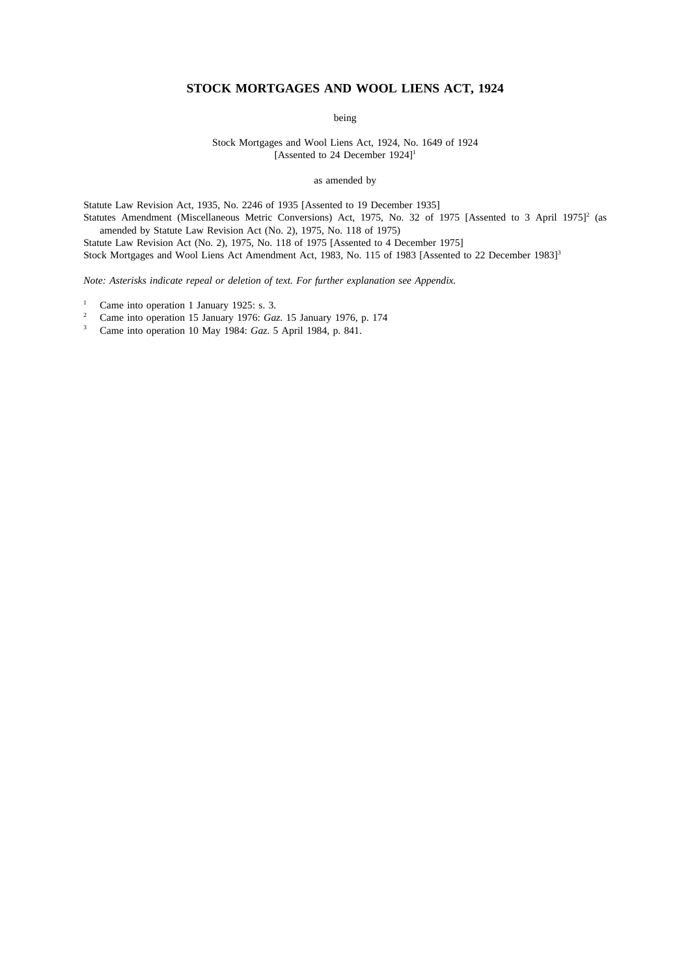# **STOCK MORTGAGES AND WOOL LIENS ACT, 1924**

being

Stock Mortgages and Wool Liens Act, 1924, No. 1649 of 1924 [Assented to 24 December 1924]<sup>1</sup>

as amended by

Statute Law Revision Act, 1935, No. 2246 of 1935 [Assented to 19 December 1935]

Statutes Amendment (Miscellaneous Metric Conversions) Act, 1975, No. 32 of 1975 [Assented to 3 April 1975]<sup>2</sup> (as amended by Statute Law Revision Act (No. 2), 1975, No. 118 of 1975)

Statute Law Revision Act (No. 2), 1975, No. 118 of 1975 [Assented to 4 December 1975]

Stock Mortgages and Wool Liens Act Amendment Act, 1983, No. 115 of 1983 [Assented to 22 December 1983]<sup>3</sup>

*Note: Asterisks indicate repeal or deletion of text. For further explanation see Appendix.*

- <sup>1</sup> Came into operation 1 January 1925: s. 3.<br><sup>2</sup> Came into operation 15 January 1976: Cam
- <sup>2</sup> Came into operation 15 January 1976: *Gaz*. 15 January 1976, p. 174
- <sup>3</sup> Came into operation 10 May 1984: *Gaz*. 5 April 1984, p. 841.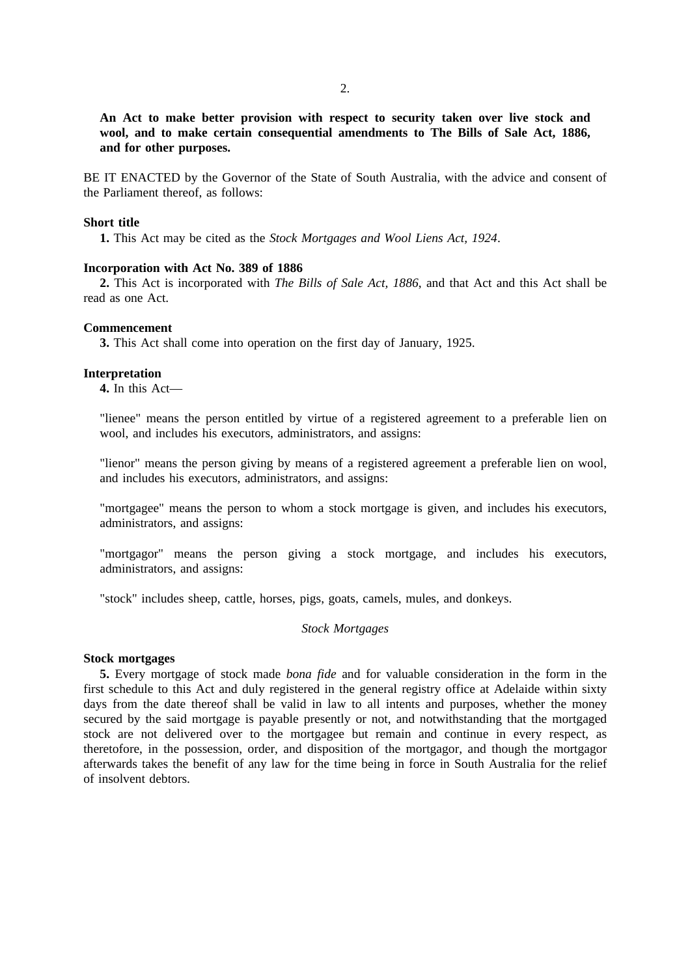**An Act to make better provision with respect to security taken over live stock and wool, and to make certain consequential amendments to The Bills of Sale Act, 1886, and for other purposes.**

BE IT ENACTED by the Governor of the State of South Australia, with the advice and consent of the Parliament thereof, as follows:

# **Short title**

**1.** This Act may be cited as the *Stock Mortgages and Wool Liens Act, 1924*.

# **Incorporation with Act No. 389 of 1886**

**2.** This Act is incorporated with *The Bills of Sale Act, 1886*, and that Act and this Act shall be read as one Act.

#### **Commencement**

**3.** This Act shall come into operation on the first day of January, 1925.

#### **Interpretation**

**4.** In this Act—

"lienee" means the person entitled by virtue of a registered agreement to a preferable lien on wool, and includes his executors, administrators, and assigns:

"lienor" means the person giving by means of a registered agreement a preferable lien on wool, and includes his executors, administrators, and assigns:

"mortgagee" means the person to whom a stock mortgage is given, and includes his executors, administrators, and assigns:

"mortgagor" means the person giving a stock mortgage, and includes his executors, administrators, and assigns:

"stock" includes sheep, cattle, horses, pigs, goats, camels, mules, and donkeys.

# *Stock Mortgages*

## **Stock mortgages**

**5.** Every mortgage of stock made *bona fide* and for valuable consideration in the form in the first schedule to this Act and duly registered in the general registry office at Adelaide within sixty days from the date thereof shall be valid in law to all intents and purposes, whether the money secured by the said mortgage is payable presently or not, and notwithstanding that the mortgaged stock are not delivered over to the mortgagee but remain and continue in every respect, as theretofore, in the possession, order, and disposition of the mortgagor, and though the mortgagor afterwards takes the benefit of any law for the time being in force in South Australia for the relief of insolvent debtors.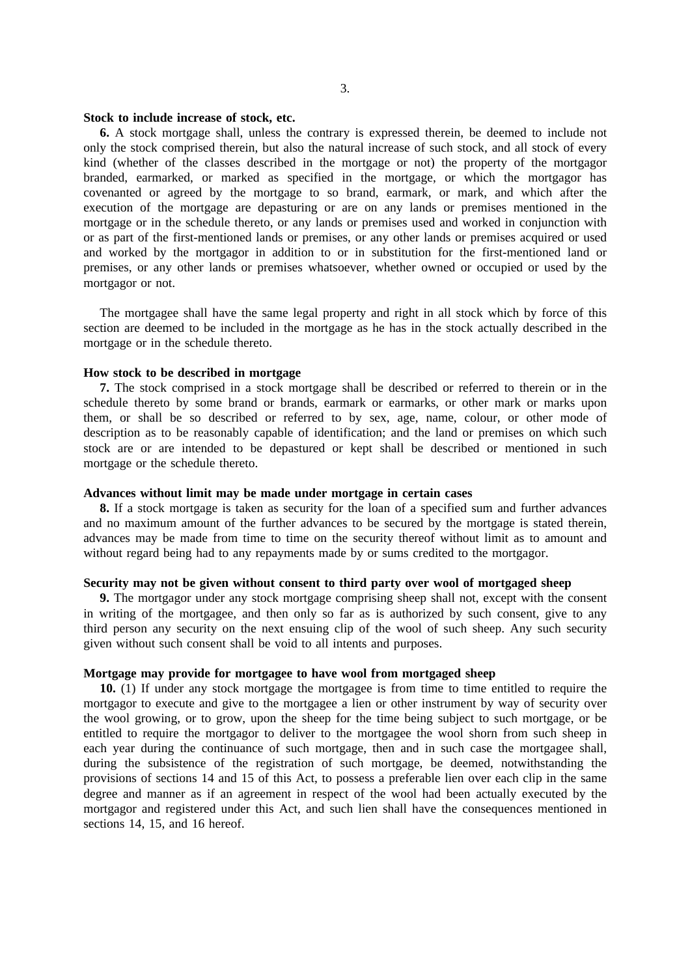#### **Stock to include increase of stock, etc.**

**6.** A stock mortgage shall, unless the contrary is expressed therein, be deemed to include not only the stock comprised therein, but also the natural increase of such stock, and all stock of every kind (whether of the classes described in the mortgage or not) the property of the mortgagor branded, earmarked, or marked as specified in the mortgage, or which the mortgagor has covenanted or agreed by the mortgage to so brand, earmark, or mark, and which after the execution of the mortgage are depasturing or are on any lands or premises mentioned in the mortgage or in the schedule thereto, or any lands or premises used and worked in conjunction with or as part of the first-mentioned lands or premises, or any other lands or premises acquired or used and worked by the mortgagor in addition to or in substitution for the first-mentioned land or premises, or any other lands or premises whatsoever, whether owned or occupied or used by the mortgagor or not.

The mortgagee shall have the same legal property and right in all stock which by force of this section are deemed to be included in the mortgage as he has in the stock actually described in the mortgage or in the schedule thereto.

# **How stock to be described in mortgage**

**7.** The stock comprised in a stock mortgage shall be described or referred to therein or in the schedule thereto by some brand or brands, earmark or earmarks, or other mark or marks upon them, or shall be so described or referred to by sex, age, name, colour, or other mode of description as to be reasonably capable of identification; and the land or premises on which such stock are or are intended to be depastured or kept shall be described or mentioned in such mortgage or the schedule thereto.

# **Advances without limit may be made under mortgage in certain cases**

**8.** If a stock mortgage is taken as security for the loan of a specified sum and further advances and no maximum amount of the further advances to be secured by the mortgage is stated therein, advances may be made from time to time on the security thereof without limit as to amount and without regard being had to any repayments made by or sums credited to the mortgagor.

# **Security may not be given without consent to third party over wool of mortgaged sheep**

**9.** The mortgagor under any stock mortgage comprising sheep shall not, except with the consent in writing of the mortgagee, and then only so far as is authorized by such consent, give to any third person any security on the next ensuing clip of the wool of such sheep. Any such security given without such consent shall be void to all intents and purposes.

## **Mortgage may provide for mortgagee to have wool from mortgaged sheep**

**10.** (1) If under any stock mortgage the mortgagee is from time to time entitled to require the mortgagor to execute and give to the mortgagee a lien or other instrument by way of security over the wool growing, or to grow, upon the sheep for the time being subject to such mortgage, or be entitled to require the mortgagor to deliver to the mortgagee the wool shorn from such sheep in each year during the continuance of such mortgage, then and in such case the mortgagee shall, during the subsistence of the registration of such mortgage, be deemed, notwithstanding the provisions of sections 14 and 15 of this Act, to possess a preferable lien over each clip in the same degree and manner as if an agreement in respect of the wool had been actually executed by the mortgagor and registered under this Act, and such lien shall have the consequences mentioned in sections 14, 15, and 16 hereof.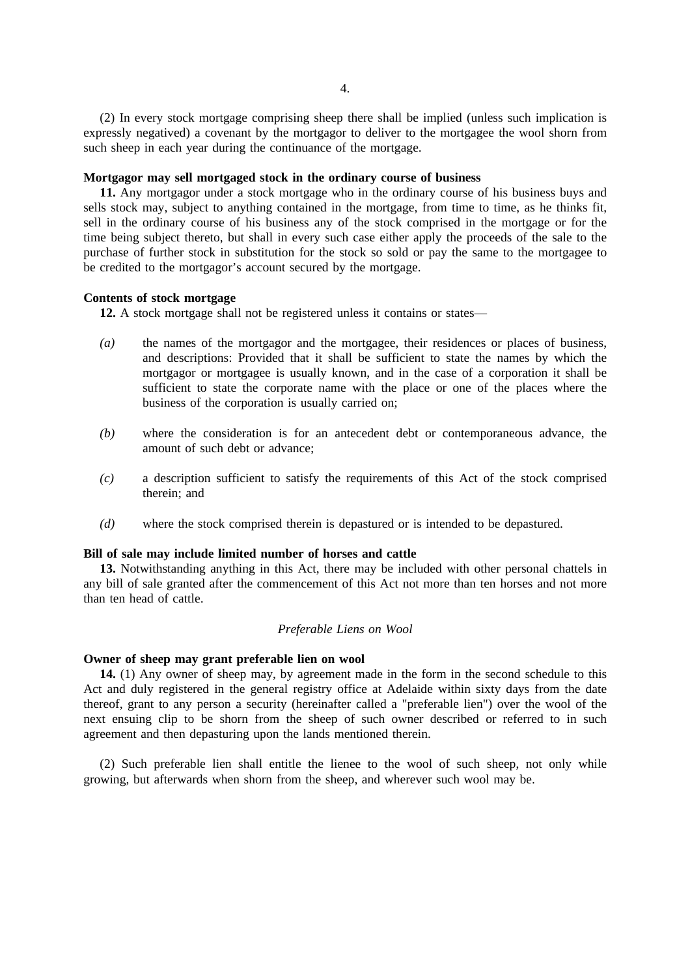(2) In every stock mortgage comprising sheep there shall be implied (unless such implication is expressly negatived) a covenant by the mortgagor to deliver to the mortgagee the wool shorn from such sheep in each year during the continuance of the mortgage.

# **Mortgagor may sell mortgaged stock in the ordinary course of business**

**11.** Any mortgagor under a stock mortgage who in the ordinary course of his business buys and sells stock may, subject to anything contained in the mortgage, from time to time, as he thinks fit, sell in the ordinary course of his business any of the stock comprised in the mortgage or for the time being subject thereto, but shall in every such case either apply the proceeds of the sale to the purchase of further stock in substitution for the stock so sold or pay the same to the mortgagee to be credited to the mortgagor's account secured by the mortgage.

# **Contents of stock mortgage**

**12.** A stock mortgage shall not be registered unless it contains or states—

- *(a)* the names of the mortgagor and the mortgagee, their residences or places of business, and descriptions: Provided that it shall be sufficient to state the names by which the mortgagor or mortgagee is usually known, and in the case of a corporation it shall be sufficient to state the corporate name with the place or one of the places where the business of the corporation is usually carried on;
- *(b)* where the consideration is for an antecedent debt or contemporaneous advance, the amount of such debt or advance;
- *(c)* a description sufficient to satisfy the requirements of this Act of the stock comprised therein; and
- *(d)* where the stock comprised therein is depastured or is intended to be depastured.

# **Bill of sale may include limited number of horses and cattle**

**13.** Notwithstanding anything in this Act, there may be included with other personal chattels in any bill of sale granted after the commencement of this Act not more than ten horses and not more than ten head of cattle.

# *Preferable Liens on Wool*

#### **Owner of sheep may grant preferable lien on wool**

**14.** (1) Any owner of sheep may, by agreement made in the form in the second schedule to this Act and duly registered in the general registry office at Adelaide within sixty days from the date thereof, grant to any person a security (hereinafter called a "preferable lien") over the wool of the next ensuing clip to be shorn from the sheep of such owner described or referred to in such agreement and then depasturing upon the lands mentioned therein.

(2) Such preferable lien shall entitle the lienee to the wool of such sheep, not only while growing, but afterwards when shorn from the sheep, and wherever such wool may be.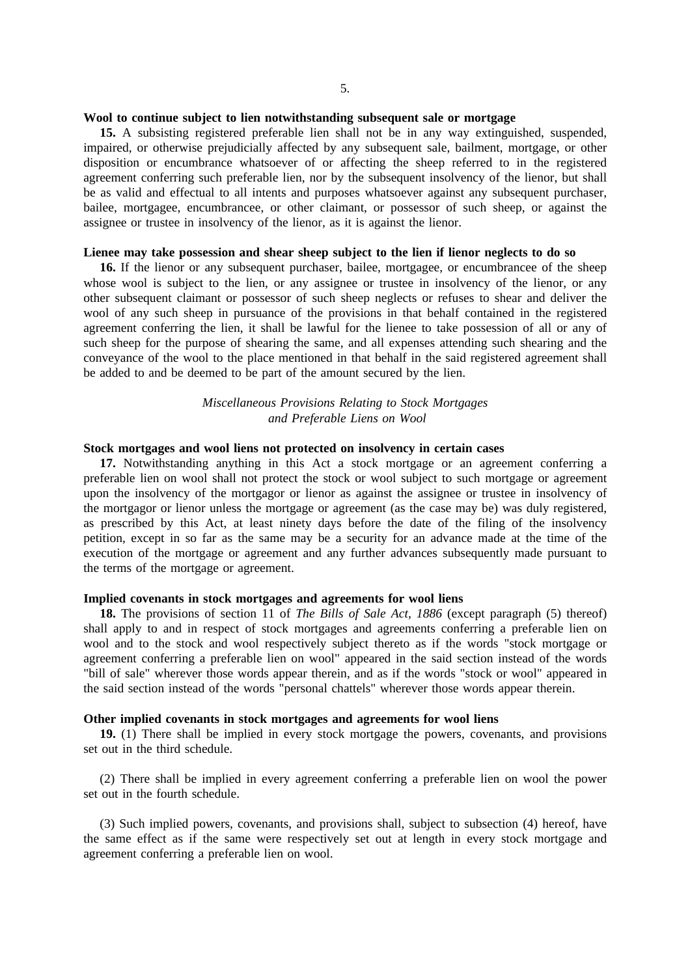### **Wool to continue subject to lien notwithstanding subsequent sale or mortgage**

**15.** A subsisting registered preferable lien shall not be in any way extinguished, suspended, impaired, or otherwise prejudicially affected by any subsequent sale, bailment, mortgage, or other disposition or encumbrance whatsoever of or affecting the sheep referred to in the registered agreement conferring such preferable lien, nor by the subsequent insolvency of the lienor, but shall be as valid and effectual to all intents and purposes whatsoever against any subsequent purchaser, bailee, mortgagee, encumbrancee, or other claimant, or possessor of such sheep, or against the assignee or trustee in insolvency of the lienor, as it is against the lienor.

### **Lienee may take possession and shear sheep subject to the lien if lienor neglects to do so**

16. If the lienor or any subsequent purchaser, bailee, mortgagee, or encumbrancee of the sheep whose wool is subject to the lien, or any assignee or trustee in insolvency of the lienor, or any other subsequent claimant or possessor of such sheep neglects or refuses to shear and deliver the wool of any such sheep in pursuance of the provisions in that behalf contained in the registered agreement conferring the lien, it shall be lawful for the lienee to take possession of all or any of such sheep for the purpose of shearing the same, and all expenses attending such shearing and the conveyance of the wool to the place mentioned in that behalf in the said registered agreement shall be added to and be deemed to be part of the amount secured by the lien.

# *Miscellaneous Provisions Relating to Stock Mortgages and Preferable Liens on Wool*

## **Stock mortgages and wool liens not protected on insolvency in certain cases**

**17.** Notwithstanding anything in this Act a stock mortgage or an agreement conferring a preferable lien on wool shall not protect the stock or wool subject to such mortgage or agreement upon the insolvency of the mortgagor or lienor as against the assignee or trustee in insolvency of the mortgagor or lienor unless the mortgage or agreement (as the case may be) was duly registered, as prescribed by this Act, at least ninety days before the date of the filing of the insolvency petition, except in so far as the same may be a security for an advance made at the time of the execution of the mortgage or agreement and any further advances subsequently made pursuant to the terms of the mortgage or agreement.

### **Implied covenants in stock mortgages and agreements for wool liens**

**18.** The provisions of section 11 of *The Bills of Sale Act, 1886* (except paragraph (5) thereof) shall apply to and in respect of stock mortgages and agreements conferring a preferable lien on wool and to the stock and wool respectively subject thereto as if the words "stock mortgage or agreement conferring a preferable lien on wool" appeared in the said section instead of the words "bill of sale" wherever those words appear therein, and as if the words "stock or wool" appeared in the said section instead of the words "personal chattels" wherever those words appear therein.

# **Other implied covenants in stock mortgages and agreements for wool liens**

**19.** (1) There shall be implied in every stock mortgage the powers, covenants, and provisions set out in the third schedule.

(2) There shall be implied in every agreement conferring a preferable lien on wool the power set out in the fourth schedule.

(3) Such implied powers, covenants, and provisions shall, subject to subsection (4) hereof, have the same effect as if the same were respectively set out at length in every stock mortgage and agreement conferring a preferable lien on wool.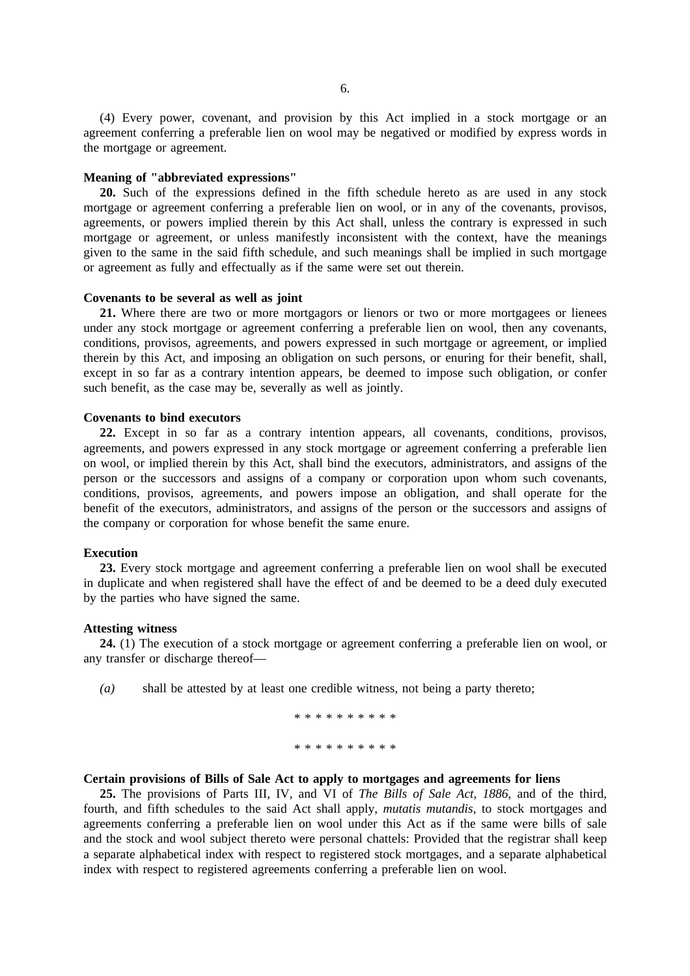(4) Every power, covenant, and provision by this Act implied in a stock mortgage or an agreement conferring a preferable lien on wool may be negatived or modified by express words in the mortgage or agreement.

### **Meaning of "abbreviated expressions"**

**20.** Such of the expressions defined in the fifth schedule hereto as are used in any stock mortgage or agreement conferring a preferable lien on wool, or in any of the covenants, provisos, agreements, or powers implied therein by this Act shall, unless the contrary is expressed in such mortgage or agreement, or unless manifestly inconsistent with the context, have the meanings given to the same in the said fifth schedule, and such meanings shall be implied in such mortgage or agreement as fully and effectually as if the same were set out therein.

# **Covenants to be several as well as joint**

**21.** Where there are two or more mortgagors or lienors or two or more mortgagees or lienees under any stock mortgage or agreement conferring a preferable lien on wool, then any covenants, conditions, provisos, agreements, and powers expressed in such mortgage or agreement, or implied therein by this Act, and imposing an obligation on such persons, or enuring for their benefit, shall, except in so far as a contrary intention appears, be deemed to impose such obligation, or confer such benefit, as the case may be, severally as well as jointly.

# **Covenants to bind executors**

**22.** Except in so far as a contrary intention appears, all covenants, conditions, provisos, agreements, and powers expressed in any stock mortgage or agreement conferring a preferable lien on wool, or implied therein by this Act, shall bind the executors, administrators, and assigns of the person or the successors and assigns of a company or corporation upon whom such covenants, conditions, provisos, agreements, and powers impose an obligation, and shall operate for the benefit of the executors, administrators, and assigns of the person or the successors and assigns of the company or corporation for whose benefit the same enure.

#### **Execution**

**23.** Every stock mortgage and agreement conferring a preferable lien on wool shall be executed in duplicate and when registered shall have the effect of and be deemed to be a deed duly executed by the parties who have signed the same.

## **Attesting witness**

**24.** (1) The execution of a stock mortgage or agreement conferring a preferable lien on wool, or any transfer or discharge thereof—

*(a)* shall be attested by at least one credible witness, not being a party thereto;

\*\*\*\*\*\*\*\*\*\* \*\*\*\*\*\*\*\*\*\*

# **Certain provisions of Bills of Sale Act to apply to mortgages and agreements for liens**

**25.** The provisions of Parts III, IV, and VI of *The Bills of Sale Act, 1886*, and of the third, fourth, and fifth schedules to the said Act shall apply, *mutatis mutandis*, to stock mortgages and agreements conferring a preferable lien on wool under this Act as if the same were bills of sale and the stock and wool subject thereto were personal chattels: Provided that the registrar shall keep a separate alphabetical index with respect to registered stock mortgages, and a separate alphabetical index with respect to registered agreements conferring a preferable lien on wool.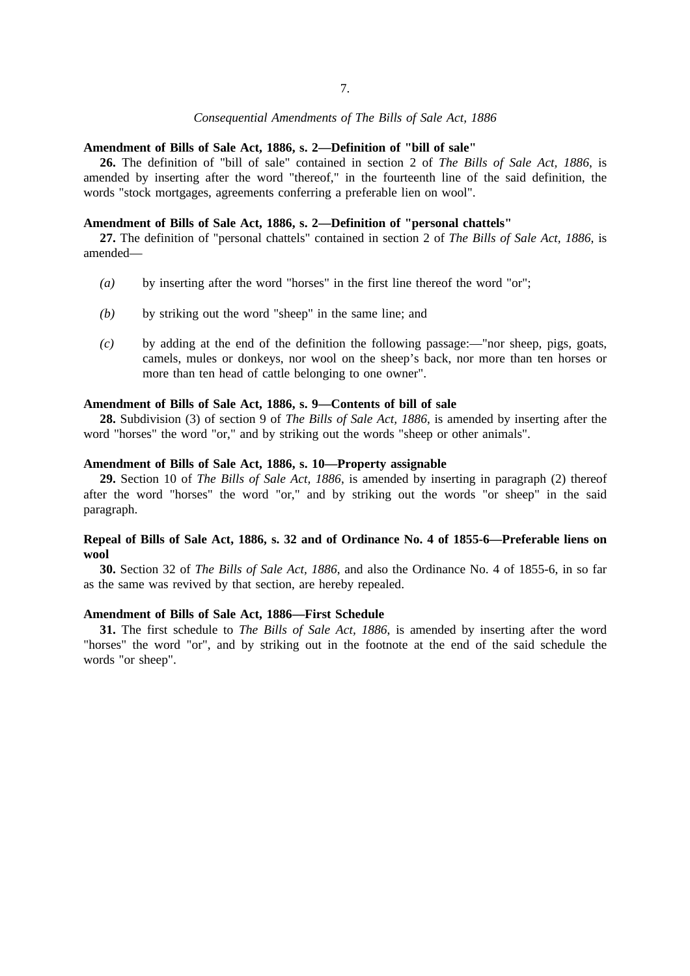# *Consequential Amendments of The Bills of Sale Act, 1886*

# **Amendment of Bills of Sale Act, 1886, s. 2—Definition of "bill of sale"**

**26.** The definition of "bill of sale" contained in section 2 of *The Bills of Sale Act, 1886*, is amended by inserting after the word "thereof," in the fourteenth line of the said definition, the words "stock mortgages, agreements conferring a preferable lien on wool".

# **Amendment of Bills of Sale Act, 1886, s. 2—Definition of "personal chattels"**

**27.** The definition of "personal chattels" contained in section 2 of *The Bills of Sale Act, 1886*, is amended—

- *(a)* by inserting after the word "horses" in the first line thereof the word "or";
- *(b)* by striking out the word "sheep" in the same line; and
- *(c)* by adding at the end of the definition the following passage:—"nor sheep, pigs, goats, camels, mules or donkeys, nor wool on the sheep's back, nor more than ten horses or more than ten head of cattle belonging to one owner".

#### **Amendment of Bills of Sale Act, 1886, s. 9—Contents of bill of sale**

**28.** Subdivision (3) of section 9 of *The Bills of Sale Act, 1886*, is amended by inserting after the word "horses" the word "or," and by striking out the words "sheep or other animals".

#### **Amendment of Bills of Sale Act, 1886, s. 10—Property assignable**

**29.** Section 10 of *The Bills of Sale Act, 1886*, is amended by inserting in paragraph (2) thereof after the word "horses" the word "or," and by striking out the words "or sheep" in the said paragraph.

# **Repeal of Bills of Sale Act, 1886, s. 32 and of Ordinance No. 4 of 1855-6—Preferable liens on wool**

**30.** Section 32 of *The Bills of Sale Act, 1886*, and also the Ordinance No. 4 of 1855-6, in so far as the same was revived by that section, are hereby repealed.

## **Amendment of Bills of Sale Act, 1886—First Schedule**

**31.** The first schedule to *The Bills of Sale Act, 1886*, is amended by inserting after the word "horses" the word "or", and by striking out in the footnote at the end of the said schedule the words "or sheep".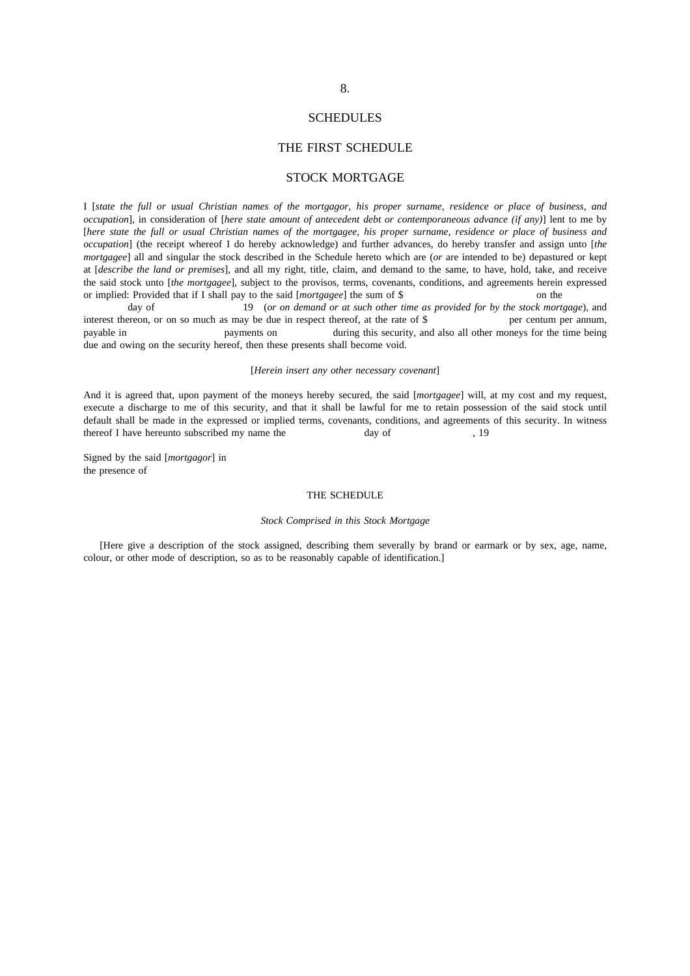# 8.

#### SCHEDULES

# THE FIRST SCHEDULE

# STOCK MORTGAGE

I [*state the full or usual Christian names of the mortgagor, his proper surname, residence or place of business, and occupation*], in consideration of [*here state amount of antecedent debt or contemporaneous advance (if any)*] lent to me by [*here state the full or usual Christian names of the mortgagee, his proper surname, residence or place of business and occupation*] (the receipt whereof I do hereby acknowledge) and further advances, do hereby transfer and assign unto [*the mortgagee*] all and singular the stock described in the Schedule hereto which are (*or* are intended to be) depastured or kept at [*describe the land or premises*], and all my right, title, claim, and demand to the same, to have, hold, take, and receive the said stock unto [*the mortgagee*], subject to the provisos, terms, covenants, conditions, and agreements herein expressed or implied: Provided that if I shall pay to the said [*mortgagee*] the sum of \$ on the

day of 19 (*or on demand or at such other time as provided for by the stock mortgage*), and ereon, or on so much as may be due in respect thereof, at the rate of \$ per centum per annum, interest thereon, or on so much as may be due in respect thereof, at the rate of  $\$$ payable in payments on during this security, and also all other moneys for the time being due and owing on the security hereof, then these presents shall become void.

#### [*Herein insert any other necessary covenant*]

And it is agreed that, upon payment of the moneys hereby secured, the said [*mortgagee*] will, at my cost and my request, execute a discharge to me of this security, and that it shall be lawful for me to retain possession of the said stock until default shall be made in the expressed or implied terms, covenants, conditions, and agreements of this security. In witness thereof I have hereunto subscribed my name the day of  $19$ 

Signed by the said [*mortgagor*] in the presence of

#### THE SCHEDULE

#### *Stock Comprised in this Stock Mortgage*

[Here give a description of the stock assigned, describing them severally by brand or earmark or by sex, age, name, colour, or other mode of description, so as to be reasonably capable of identification.]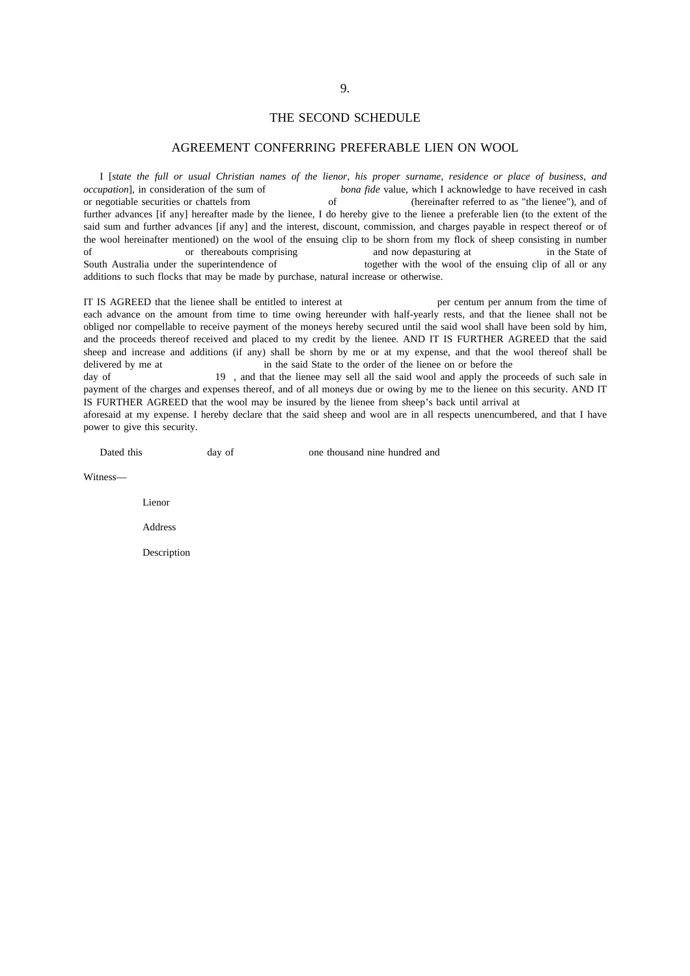#### THE SECOND SCHEDULE

# AGREEMENT CONFERRING PREFERABLE LIEN ON WOOL

I [*state the full or usual Christian names of the lienor, his proper surname, residence or place of business, and occupation*], in consideration of the sum of *bona fide* value, which I acknowledge to have received in cash or negotiable securities or chattels from of (hereinafter referred to as "the lienee"), and of further advances [if any] hereafter made by the lienee, I do hereby give to the lienee a preferable lien (to the extent of the said sum and further advances [if any] and the interest, discount, commission, and charges payable in respect thereof or of the wool hereinafter mentioned) on the wool of the ensuing clip to be shorn from my flock of sheep consisting in number of or thereabouts comprising and now depasturing at in the State of South Australia under the superintendence of together with the wool of the ensuing clip of all or any additions to such flocks that may be made by purchase, natural increase or otherwise.

IT IS AGREED that the lienee shall be entitled to interest at per centum per annum from the time of each advance on the amount from time to time owing hereunder with half-yearly rests, and that the lienee shall not be obliged nor compellable to receive payment of the moneys hereby secured until the said wool shall have been sold by him, and the proceeds thereof received and placed to my credit by the lienee. AND IT IS FURTHER AGREED that the said sheep and increase and additions (if any) shall be shorn by me or at my expense, and that the wool thereof shall be delivered by me at in the said State to the order of the lienee on or before the

day of 19 , and that the lienee may sell all the said wool and apply the proceeds of such sale in payment of the charges and expenses thereof, and of all moneys due or owing by me to the lienee on this security. AND IT IS FURTHER AGREED that the wool may be insured by the lienee from sheep's back until arrival at

aforesaid at my expense. I hereby declare that the said sheep and wool are in all respects unencumbered, and that I have power to give this security.

Dated this day of one thousand nine hundred and

Witness—

Lienor

Address

Description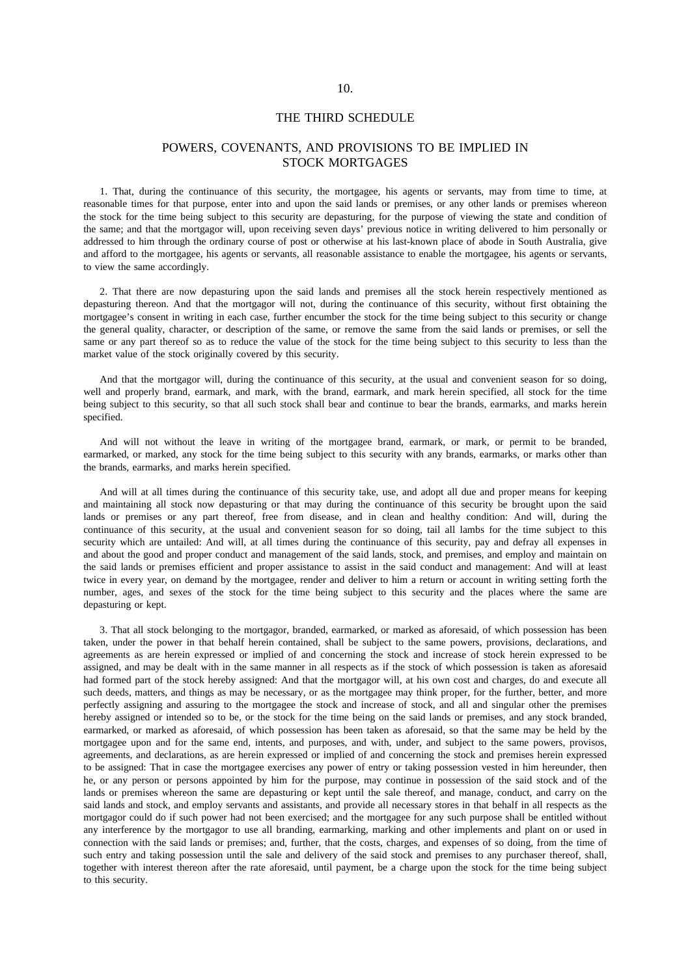#### THE THIRD SCHEDULE

# POWERS, COVENANTS, AND PROVISIONS TO BE IMPLIED IN STOCK MORTGAGES

1. That, during the continuance of this security, the mortgagee, his agents or servants, may from time to time, at reasonable times for that purpose, enter into and upon the said lands or premises, or any other lands or premises whereon the stock for the time being subject to this security are depasturing, for the purpose of viewing the state and condition of the same; and that the mortgagor will, upon receiving seven days' previous notice in writing delivered to him personally or addressed to him through the ordinary course of post or otherwise at his last-known place of abode in South Australia, give and afford to the mortgagee, his agents or servants, all reasonable assistance to enable the mortgagee, his agents or servants, to view the same accordingly.

2. That there are now depasturing upon the said lands and premises all the stock herein respectively mentioned as depasturing thereon. And that the mortgagor will not, during the continuance of this security, without first obtaining the mortgagee's consent in writing in each case, further encumber the stock for the time being subject to this security or change the general quality, character, or description of the same, or remove the same from the said lands or premises, or sell the same or any part thereof so as to reduce the value of the stock for the time being subject to this security to less than the market value of the stock originally covered by this security.

And that the mortgagor will, during the continuance of this security, at the usual and convenient season for so doing, well and properly brand, earmark, and mark, with the brand, earmark, and mark herein specified, all stock for the time being subject to this security, so that all such stock shall bear and continue to bear the brands, earmarks, and marks herein specified.

And will not without the leave in writing of the mortgagee brand, earmark, or mark, or permit to be branded, earmarked, or marked, any stock for the time being subject to this security with any brands, earmarks, or marks other than the brands, earmarks, and marks herein specified.

And will at all times during the continuance of this security take, use, and adopt all due and proper means for keeping and maintaining all stock now depasturing or that may during the continuance of this security be brought upon the said lands or premises or any part thereof, free from disease, and in clean and healthy condition: And will, during the continuance of this security, at the usual and convenient season for so doing, tail all lambs for the time subject to this security which are untailed: And will, at all times during the continuance of this security, pay and defray all expenses in and about the good and proper conduct and management of the said lands, stock, and premises, and employ and maintain on the said lands or premises efficient and proper assistance to assist in the said conduct and management: And will at least twice in every year, on demand by the mortgagee, render and deliver to him a return or account in writing setting forth the number, ages, and sexes of the stock for the time being subject to this security and the places where the same are depasturing or kept.

3. That all stock belonging to the mortgagor, branded, earmarked, or marked as aforesaid, of which possession has been taken, under the power in that behalf herein contained, shall be subject to the same powers, provisions, declarations, and agreements as are herein expressed or implied of and concerning the stock and increase of stock herein expressed to be assigned, and may be dealt with in the same manner in all respects as if the stock of which possession is taken as aforesaid had formed part of the stock hereby assigned: And that the mortgagor will, at his own cost and charges, do and execute all such deeds, matters, and things as may be necessary, or as the mortgagee may think proper, for the further, better, and more perfectly assigning and assuring to the mortgagee the stock and increase of stock, and all and singular other the premises hereby assigned or intended so to be, or the stock for the time being on the said lands or premises, and any stock branded, earmarked, or marked as aforesaid, of which possession has been taken as aforesaid, so that the same may be held by the mortgagee upon and for the same end, intents, and purposes, and with, under, and subject to the same powers, provisos, agreements, and declarations, as are herein expressed or implied of and concerning the stock and premises herein expressed to be assigned: That in case the mortgagee exercises any power of entry or taking possession vested in him hereunder, then he, or any person or persons appointed by him for the purpose, may continue in possession of the said stock and of the lands or premises whereon the same are depasturing or kept until the sale thereof, and manage, conduct, and carry on the said lands and stock, and employ servants and assistants, and provide all necessary stores in that behalf in all respects as the mortgagor could do if such power had not been exercised; and the mortgagee for any such purpose shall be entitled without any interference by the mortgagor to use all branding, earmarking, marking and other implements and plant on or used in connection with the said lands or premises; and, further, that the costs, charges, and expenses of so doing, from the time of such entry and taking possession until the sale and delivery of the said stock and premises to any purchaser thereof, shall, together with interest thereon after the rate aforesaid, until payment, be a charge upon the stock for the time being subject to this security.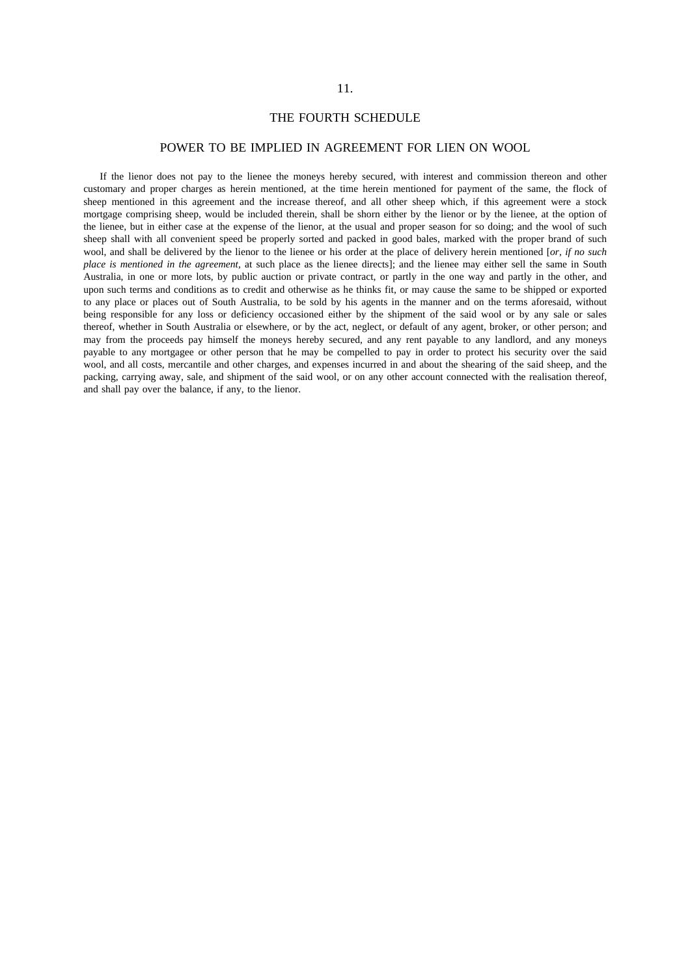# 11.

# THE FOURTH SCHEDULE

# POWER TO BE IMPLIED IN AGREEMENT FOR LIEN ON WOOL

If the lienor does not pay to the lienee the moneys hereby secured, with interest and commission thereon and other customary and proper charges as herein mentioned, at the time herein mentioned for payment of the same, the flock of sheep mentioned in this agreement and the increase thereof, and all other sheep which, if this agreement were a stock mortgage comprising sheep, would be included therein, shall be shorn either by the lienor or by the lienee, at the option of the lienee, but in either case at the expense of the lienor, at the usual and proper season for so doing; and the wool of such sheep shall with all convenient speed be properly sorted and packed in good bales, marked with the proper brand of such wool, and shall be delivered by the lienor to the lienee or his order at the place of delivery herein mentioned [*or, if no such place is mentioned in the agreement,* at such place as the lienee directs]; and the lienee may either sell the same in South Australia, in one or more lots, by public auction or private contract, or partly in the one way and partly in the other, and upon such terms and conditions as to credit and otherwise as he thinks fit, or may cause the same to be shipped or exported to any place or places out of South Australia, to be sold by his agents in the manner and on the terms aforesaid, without being responsible for any loss or deficiency occasioned either by the shipment of the said wool or by any sale or sales thereof, whether in South Australia or elsewhere, or by the act, neglect, or default of any agent, broker, or other person; and may from the proceeds pay himself the moneys hereby secured, and any rent payable to any landlord, and any moneys payable to any mortgagee or other person that he may be compelled to pay in order to protect his security over the said wool, and all costs, mercantile and other charges, and expenses incurred in and about the shearing of the said sheep, and the packing, carrying away, sale, and shipment of the said wool, or on any other account connected with the realisation thereof, and shall pay over the balance, if any, to the lienor.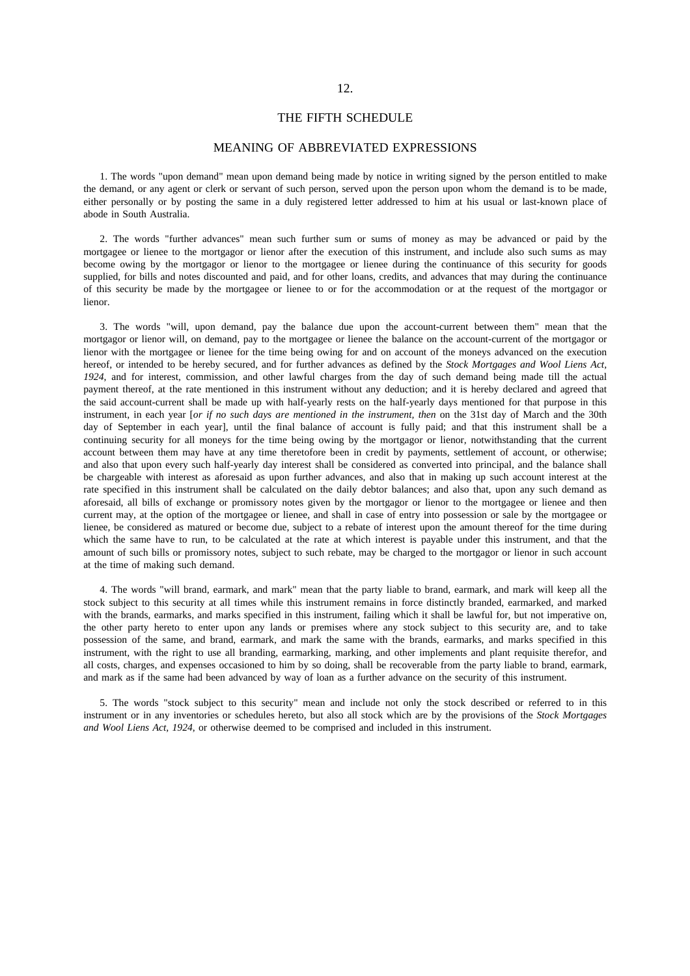#### THE FIFTH SCHEDULE

# MEANING OF ABBREVIATED EXPRESSIONS

1. The words "upon demand" mean upon demand being made by notice in writing signed by the person entitled to make the demand, or any agent or clerk or servant of such person, served upon the person upon whom the demand is to be made, either personally or by posting the same in a duly registered letter addressed to him at his usual or last-known place of abode in South Australia.

2. The words "further advances" mean such further sum or sums of money as may be advanced or paid by the mortgagee or lienee to the mortgagor or lienor after the execution of this instrument, and include also such sums as may become owing by the mortgagor or lienor to the mortgagee or lienee during the continuance of this security for goods supplied, for bills and notes discounted and paid, and for other loans, credits, and advances that may during the continuance of this security be made by the mortgagee or lienee to or for the accommodation or at the request of the mortgagor or lienor.

3. The words "will, upon demand, pay the balance due upon the account-current between them" mean that the mortgagor or lienor will, on demand, pay to the mortgagee or lienee the balance on the account-current of the mortgagor or lienor with the mortgagee or lienee for the time being owing for and on account of the moneys advanced on the execution hereof, or intended to be hereby secured, and for further advances as defined by the *Stock Mortgages and Wool Liens Act, 1924*, and for interest, commission, and other lawful charges from the day of such demand being made till the actual payment thereof, at the rate mentioned in this instrument without any deduction; and it is hereby declared and agreed that the said account-current shall be made up with half-yearly rests on the half-yearly days mentioned for that purpose in this instrument, in each year [*or if no such days are mentioned in the instrument, then* on the 31st day of March and the 30th day of September in each yearl, until the final balance of account is fully paid; and that this instrument shall be a continuing security for all moneys for the time being owing by the mortgagor or lienor, notwithstanding that the current account between them may have at any time theretofore been in credit by payments, settlement of account, or otherwise; and also that upon every such half-yearly day interest shall be considered as converted into principal, and the balance shall be chargeable with interest as aforesaid as upon further advances, and also that in making up such account interest at the rate specified in this instrument shall be calculated on the daily debtor balances; and also that, upon any such demand as aforesaid, all bills of exchange or promissory notes given by the mortgagor or lienor to the mortgagee or lienee and then current may, at the option of the mortgagee or lienee, and shall in case of entry into possession or sale by the mortgagee or lienee, be considered as matured or become due, subject to a rebate of interest upon the amount thereof for the time during which the same have to run, to be calculated at the rate at which interest is payable under this instrument, and that the amount of such bills or promissory notes, subject to such rebate, may be charged to the mortgagor or lienor in such account at the time of making such demand.

4. The words "will brand, earmark, and mark" mean that the party liable to brand, earmark, and mark will keep all the stock subject to this security at all times while this instrument remains in force distinctly branded, earmarked, and marked with the brands, earmarks, and marks specified in this instrument, failing which it shall be lawful for, but not imperative on, the other party hereto to enter upon any lands or premises where any stock subject to this security are, and to take possession of the same, and brand, earmark, and mark the same with the brands, earmarks, and marks specified in this instrument, with the right to use all branding, earmarking, marking, and other implements and plant requisite therefor, and all costs, charges, and expenses occasioned to him by so doing, shall be recoverable from the party liable to brand, earmark, and mark as if the same had been advanced by way of loan as a further advance on the security of this instrument.

5. The words "stock subject to this security" mean and include not only the stock described or referred to in this instrument or in any inventories or schedules hereto, but also all stock which are by the provisions of the *Stock Mortgages and Wool Liens Act, 1924*, or otherwise deemed to be comprised and included in this instrument.